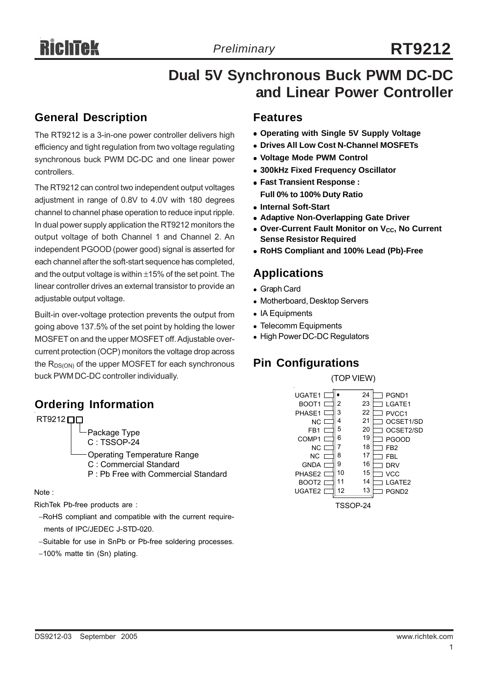# **Dual 5V Synchronous Buck PWM DC-DC and Linear Power Controller**

# **General Description**

The RT9212 is a 3-in-one power controller delivers high efficiency and tight regulation from two voltage regulating synchronous buck PWM DC-DC and one linear power controllers.

The RT9212 can control two independent output voltages adjustment in range of 0.8V to 4.0V with 180 degrees channel to channel phase operation to reduce input ripple. In dual power supply application the RT9212 monitors the output voltage of both Channel 1 and Channel 2. An independent PGOOD (power good) signal is asserted for each channel after the soft-start sequence has completed, and the output voltage is within  $\pm 15\%$  of the set point. The linear controller drives an external transistor to provide an adjustable output voltage.

Built-in over-voltage protection prevents the output from going above 137.5% of the set point by holding the lower MOSFET on and the upper MOSFET off. Adjustable overcurrent protection (OCP) monitors the voltage drop across the  $R_{DS(ON)}$  of the upper MOSFET for each synchronous buck PWM DC-DC controller individually.  $(TOP VIEW)$ 

# **Ordering Information**

#### $RT9212$

Package Type

C : TSSOP-24

Operating Temperature Range

- C : Commercial Standard
- P : Pb Free with Commercial Standard

#### Note :

RichTek Pb-free products are :

- −RoHS compliant and compatible with the current require ments of IPC/JEDEC J-STD-020.
- −Suitable for use in SnPb or Pb-free soldering processes.
- −100% matte tin (Sn) plating.

### **Features**

- **Operating with Single 5V Supply Voltage**
- **. Drives All Low Cost N-Channel MOSFETs**
- <sup>z</sup> **Voltage Mode PWM Control**
- <sup>z</sup> **300kHz Fixed Frequency Oscillator**
- <sup>z</sup> **Fast Transient Response : Full 0% to 100% Duty Ratio**
- **Internal Soft-Start**
- **Adaptive Non-Overlapping Gate Driver**
- **Over-Current Fault Monitor on V<sub>CC</sub>, No Current Sense Resistor Required**
- <sup>z</sup> **RoHS Compliant and 100% Lead (Pb)-Free**

### **Applications**

- Graph Card
- Motherboard, Desktop Servers
- IA Equipments
- Telecomm Equipments
- High Power DC-DC Regulators

# **Pin Configurations**

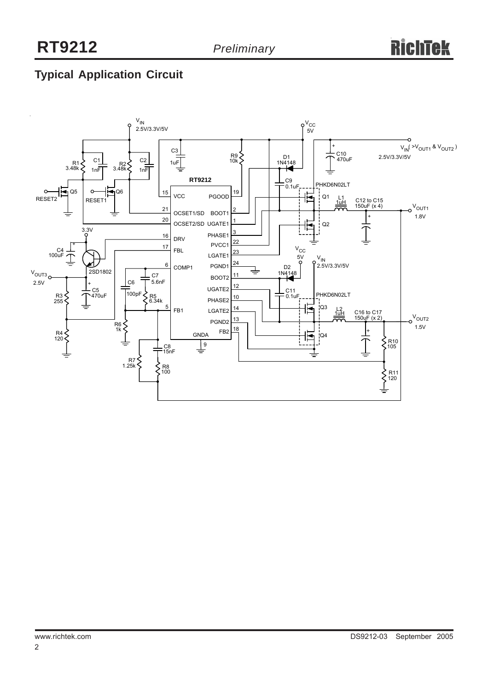# **Typical Application Circuit**

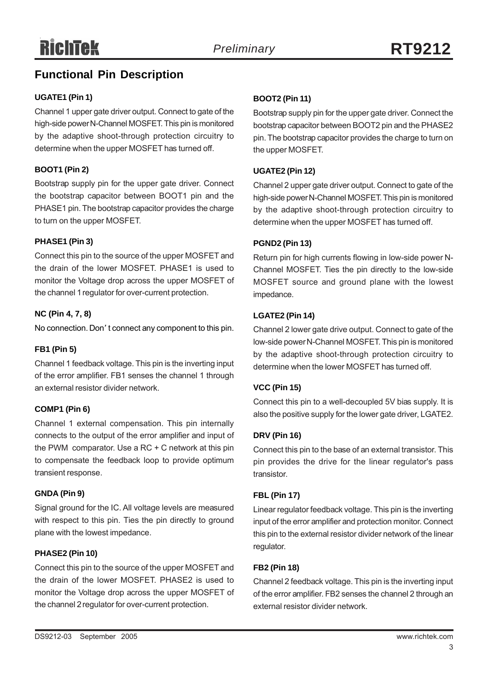# **Functional Pin Description**

#### **UGATE1 (Pin 1)**

Channel 1 upper gate driver output. Connect to gate of the high-side power N-Channel MOSFET. This pin is monitored by the adaptive shoot-through protection circuitry to determine when the upper MOSFET has turned off.

#### **BOOT1 (Pin 2)**

Bootstrap supply pin for the upper gate driver. Connect the bootstrap capacitor between BOOT1 pin and the PHASE1 pin. The bootstrap capacitor provides the charge to turn on the upper MOSFET.

#### **PHASE1 (Pin 3)**

Connect this pin to the source of the upper MOSFET and the drain of the lower MOSFET. PHASE1 is used to monitor the Voltage drop across the upper MOSFET of the channel 1 regulator for over-current protection.

#### **NC (Pin 4, 7, 8)**

No connection. Don' t connect any component to this pin.

#### **FB1 (Pin 5)**

Channel 1 feedback voltage. This pin is the inverting input of the error amplifier. FB1 senses the channel 1 through an external resistor divider network.

#### **COMP1 (Pin 6)**

Channel 1 external compensation. This pin internally connects to the output of the error amplifier and input of the PWM comparator. Use a RC + C network at this pin to compensate the feedback loop to provide optimum transient response.

#### **GNDA (Pin 9)**

Signal ground for the IC. All voltage levels are measured with respect to this pin. Ties the pin directly to ground plane with the lowest impedance.

#### **PHASE2 (Pin 10)**

Connect this pin to the source of the upper MOSFET and the drain of the lower MOSFET. PHASE2 is used to monitor the Voltage drop across the upper MOSFET of the channel 2regulator for over-current protection.

#### **BOOT2 (Pin 11)**

Bootstrap supply pin for the upper gate driver. Connect the bootstrap capacitor between BOOT2 pin and the PHASE2 pin. The bootstrap capacitor provides the charge to turn on the upper MOSFET.

#### **UGATE2 (Pin 12)**

Channel 2 upper gate driver output. Connect to gate of the high-side power N-Channel MOSFET. This pin is monitored by the adaptive shoot-through protection circuitry to determine when the upper MOSFET has turned off.

#### **PGND2 (Pin 13)**

Return pin for high currents flowing in low-side power N-Channel MOSFET. Ties the pin directly to the low-side MOSFET source and ground plane with the lowest impedance.

#### **LGATE2 (Pin 14)**

Channel 2 lower gate drive output. Connect to gate of the low-side power N-Channel MOSFET. This pin is monitored by the adaptive shoot-through protection circuitry to determine when the lower MOSFET has turned off.

#### **VCC (Pin 15)**

Connect this pin to a well-decoupled 5V bias supply. It is also the positive supply for the lower gate driver, LGATE2.

#### **DRV (Pin 16)**

Connect this pin to the base of an external transistor. This pin provides the drive for the linear regulator's pass transistor.

#### **FBL (Pin 17)**

Linear regulator feedback voltage. This pin is the inverting input of the error amplifier and protection monitor. Connect this pin to the external resistor divider network of the linear regulator.

#### **FB2 (Pin 18)**

Channel 2 feedback voltage. This pin is the inverting input of the error amplifier. FB2 senses the channel 2 through an external resistor divider network.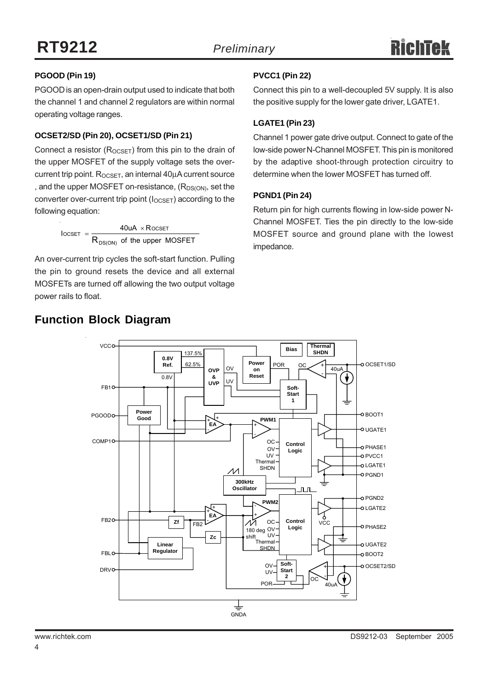#### **PGOOD (Pin 19)**

PGOOD is an open-drain output used to indicate that both the channel 1 and channel 2 regulators are within normal operating voltage ranges.

#### **OCSET2/SD (Pin 20), OCSET1/SD (Pin 21)**

Connect a resistor  $(R_{OCSFT})$  from this pin to the drain of the upper MOSFET of the supply voltage sets the overcurrent trip point.  $R_{OCSET}$ , an internal  $40\mu A$  current source , and the upper MOSFET on-resistance,  $(R_{DS(ON)}$ , set the converter over-current trip point ( $I_{OCSET}$ ) according to the following equation:

> of the upper MOSFET  $40uA \times R$ OCSET I DS(ON) ocset  $=$   $\frac{1}{R}$  $=\frac{40uA \times}{2}$

An over-current trip cycles the soft-start function. Pulling the pin to ground resets the device and all external MOSFETs are turned off allowing the two output voltage power rails to float.

#### **PVCC1 (Pin 22)**

Connect this pin to a well-decoupled 5V supply. It is also the positive supply for the lower gate driver, LGATE1.

#### **LGATE1 (Pin 23)**

Channel 1 power gate drive output. Connect to gate of the low-side power N-Channel MOSFET. This pin is monitored by the adaptive shoot-through protection circuitry to determine when the lower MOSFET has turned off.

#### **PGND1 (Pin 24)**

Return pin for high currents flowing in low-side power N-Channel MOSFET. Ties the pin directly to the low-side MOSFET source and ground plane with the lowest impedance.



# **Function Block Diagram**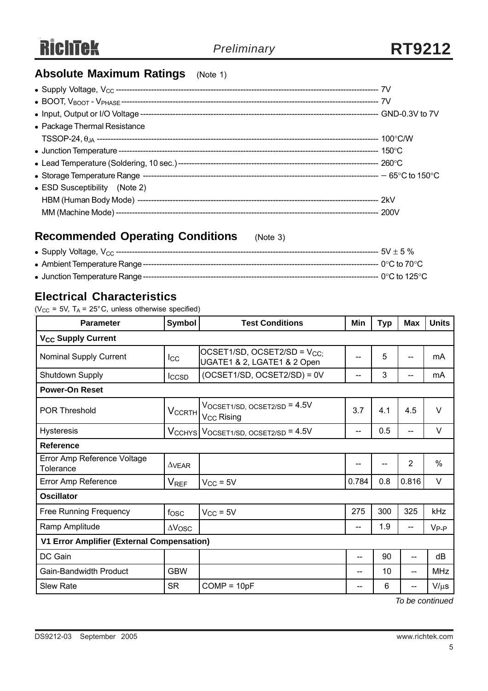# **Absolute Maximum Ratings** (Note 1)

| • Package Thermal Resistance  |  |
|-------------------------------|--|
|                               |  |
|                               |  |
|                               |  |
|                               |  |
| • ESD Susceptibility (Note 2) |  |
|                               |  |
|                               |  |

# **Recommended Operating Conditions** (Note 3)

# **Electrical Characteristics**

( $V_{CC}$  = 5V, T<sub>A</sub> = 25°C, unless otherwise specified)

| <b>Parameter</b>                                                                                          | <b>Symbol</b><br><b>Test Conditions</b>        |                                                                        | Min               | <b>Typ</b> | <b>Max</b>     | <b>Units</b>  |  |  |
|-----------------------------------------------------------------------------------------------------------|------------------------------------------------|------------------------------------------------------------------------|-------------------|------------|----------------|---------------|--|--|
| <b>V<sub>CC</sub> Supply Current</b>                                                                      |                                                |                                                                        |                   |            |                |               |  |  |
| Nominal Supply Current                                                                                    | $_{\rm lcc}$                                   | OCSET1/SD, OCSET2/SD = V <sub>CC:</sub><br>UGATE1 & 2, LGATE1 & 2 Open |                   | 5          | --             | mA            |  |  |
| Shutdown Supply                                                                                           | $(OCSET1/SD, OCSET2/SD) = 0V$<br><b>I</b> CCSD |                                                                        | --                | 3          | --             | mA            |  |  |
| <b>Power-On Reset</b>                                                                                     |                                                |                                                                        |                   |            |                |               |  |  |
| $V$ OCSET1/SD, OCSET2/SD = $4.5V$<br>V <sub>CCRTH</sub><br><b>POR Threshold</b><br>V <sub>CC</sub> Rising |                                                |                                                                        | 3.7               | 4.1        | 4.5            | $\vee$        |  |  |
| <b>Hysteresis</b><br>$V_{CCHYS}$ VOCSET1/SD, OCSET2/SD = 4.5V                                             |                                                | --                                                                     | 0.5               | $-$        | V              |               |  |  |
| <b>Reference</b>                                                                                          |                                                |                                                                        |                   |            |                |               |  |  |
| Error Amp Reference Voltage<br>Tolerance                                                                  | $\Delta$ VEAR                                  |                                                                        | --                | --         | $\overline{2}$ | $\frac{0}{0}$ |  |  |
| Error Amp Reference                                                                                       | $V_{REF}$<br>$V_{CC}$ = 5V                     |                                                                        | 0.784             | 0.8        | 0.816          | V             |  |  |
| <b>Oscillator</b>                                                                                         |                                                |                                                                        |                   |            |                |               |  |  |
| <b>Free Running Frequency</b>                                                                             | fosc                                           | $V_{CC}$ = 5V                                                          | 275               | 300        | 325            | kHz           |  |  |
| Ramp Amplitude                                                                                            | $\Delta V$ OSC                                 |                                                                        | $- -$             | 1.9        | --             | $V_{P-P}$     |  |  |
| <b>V1 Error Amplifier (External Compensation)</b>                                                         |                                                |                                                                        |                   |            |                |               |  |  |
| DC Gain                                                                                                   |                                                |                                                                        | $\qquad \qquad -$ | 90         | --             | dB            |  |  |
| Gain-Bandwidth Product                                                                                    | <b>GBW</b>                                     |                                                                        | --                | 10         | --             | <b>MHz</b>    |  |  |
| <b>Slew Rate</b>                                                                                          | <b>SR</b>                                      | $COMP = 10pF$                                                          | --                | 6          | --             | $V/\mu s$     |  |  |

*To be continued*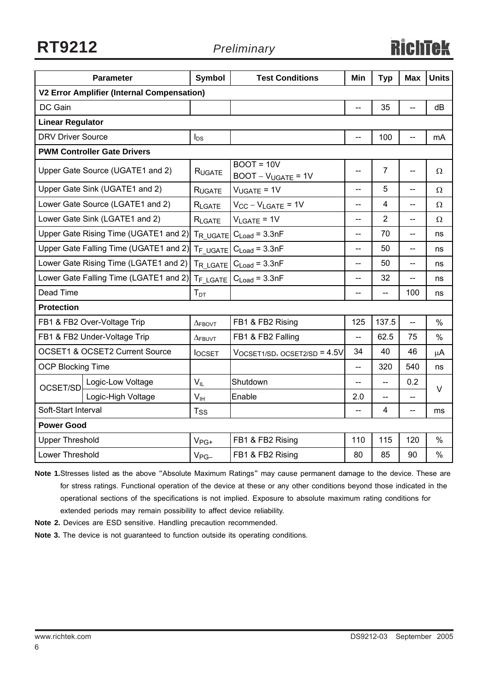**RT9212** *Preliminary*

# **RichTek**

|                                                   | <b>Parameter</b>                          | <b>Symbol</b>  | <b>Test Conditions</b>                           | Min                      | <b>Typ</b>     | <b>Max</b>     | <b>Units</b>  |
|---------------------------------------------------|-------------------------------------------|----------------|--------------------------------------------------|--------------------------|----------------|----------------|---------------|
| <b>V2 Error Amplifier (Internal Compensation)</b> |                                           |                |                                                  |                          |                |                |               |
| DC Gain                                           |                                           |                |                                                  | --                       | 35             | -−             | dB            |
| <b>Linear Regulator</b>                           |                                           |                |                                                  |                          |                |                |               |
| <b>DRV Driver Source</b>                          |                                           | $I_{DS}$       |                                                  | $-$                      | 100            | --             | mA            |
|                                                   | <b>PWM Controller Gate Drivers</b>        |                |                                                  |                          |                |                |               |
|                                                   | Upper Gate Source (UGATE1 and 2)          | RUGATE         | $BOOT = 10V$<br>$BOOT - V_{UGATE} = 1V$          | --                       | $\overline{7}$ | --             | Ω             |
|                                                   | Upper Gate Sink (UGATE1 and 2)            | <b>RUGATE</b>  | $V_{UGATE} = 1V$                                 | --                       | 5              | --             | Ω             |
|                                                   | Lower Gate Source (LGATE1 and 2)          | RLGATE         | $V_{CC} - V_{LGATE} = 1V$                        | --                       | 4              | --             | Ω             |
|                                                   | Lower Gate Sink (LGATE1 and 2)            | RLGATE         | $V_{LGATE} = 1V$                                 | $\overline{a}$           | $\overline{2}$ | $\overline{a}$ | Ω             |
|                                                   | Upper Gate Rising Time (UGATE1 and 2)     |                | $TR$ UGATE $C_{Load} = 3.3nF$                    | $\overline{\phantom{a}}$ | 70             | --             | ns            |
|                                                   | Upper Gate Falling Time (UGATE1 and 2)    |                | $T_F$ UGATE $C_{Load} = 3.3nF$                   | $-$                      | 50             | $-$            | ns            |
|                                                   | Lower Gate Rising Time (LGATE1 and 2)     | TR LGATE       | $C_{Load} = 3.3nF$                               | --                       | 50             | $-$            | ns            |
|                                                   | Lower Gate Falling Time (LGATE1 and 2)    | $T_F$ LGATE    | $C_{Load} = 3.3nF$                               | $-$                      | 32             | --             | ns            |
| Dead Time                                         |                                           | $T_{DT}$       |                                                  | $\overline{\phantom{a}}$ | $-$            | 100            | ns            |
| <b>Protection</b>                                 |                                           |                |                                                  |                          |                |                |               |
|                                                   | FB1 & FB2 Over-Voltage Trip               | $\Delta$ FBOVT | FB1 & FB2 Rising                                 | 125                      | 137.5          | Ц,             | $\frac{0}{0}$ |
|                                                   | FB1 & FB2 Under-Voltage Trip              | $\Delta$ FBUVT | FB1 & FB2 Falling                                | $-$                      | 62.5           | 75             | $\frac{0}{0}$ |
|                                                   | <b>OCSET1 &amp; OCSET2 Current Source</b> | <b>locset</b>  | $V_{\rm OCSET1/SD},$ $_{\rm OCSET2/SD}$ = $4.5V$ | 34                       | 40             | 46             | μA            |
| <b>OCP Blocking Time</b>                          |                                           |                |                                                  | $\overline{\phantom{a}}$ | 320            | 540            | ns            |
| OCSET/SD                                          | Logic-Low Voltage                         | $V_{IL}$       | Shutdown                                         | $-$                      | $-$            | 0.2            | $\vee$        |
|                                                   | Logic-High Voltage                        | $V_{IH}$       | Enable                                           | 2.0                      |                | --             |               |
| Soft-Start Interval                               |                                           | $T_{SS}$       |                                                  |                          | 4              | --             | ms            |
| <b>Power Good</b>                                 |                                           |                |                                                  |                          |                |                |               |
| <b>Upper Threshold</b>                            |                                           | $V_{PG+}$      | FB1 & FB2 Rising                                 | 110                      | 115            | 120            | $\%$          |
| Lower Threshold                                   |                                           | $V_{PG-}$      | FB1 & FB2 Rising                                 | 80                       | 85             | 90             | $\frac{0}{0}$ |

**Note 1.**Stresses listed as the above "Absolute Maximum Ratings" may cause permanent damage to the device. These are for stress ratings. Functional operation of the device at these or any other conditions beyond those indicated in the operational sections of the specifications is not implied. Exposure to absolute maximum rating conditions for extended periods may remain possibility to affect device reliability.

**Note 2.** Devices are ESD sensitive. Handling precaution recommended.

**Note 3.** The device is not guaranteed to function outside its operating conditions.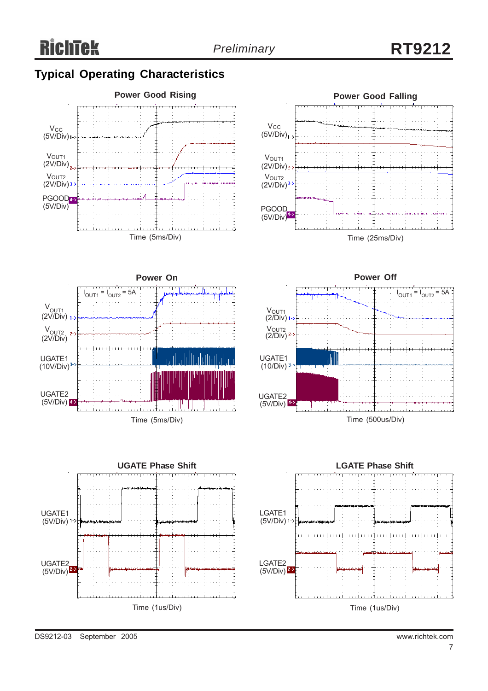# **Typical Operating Characteristics**









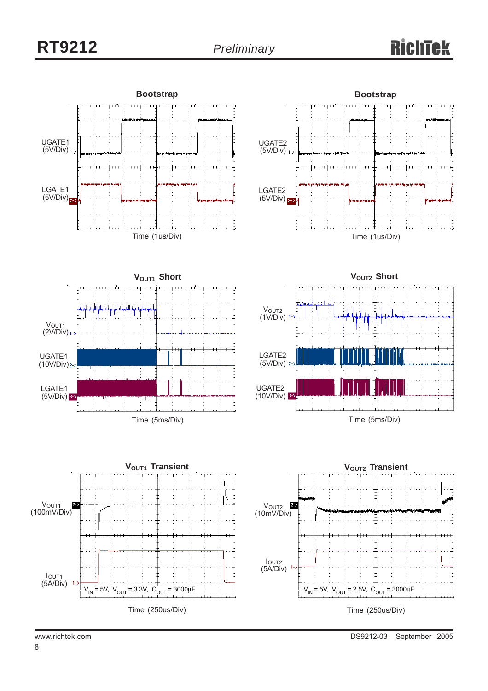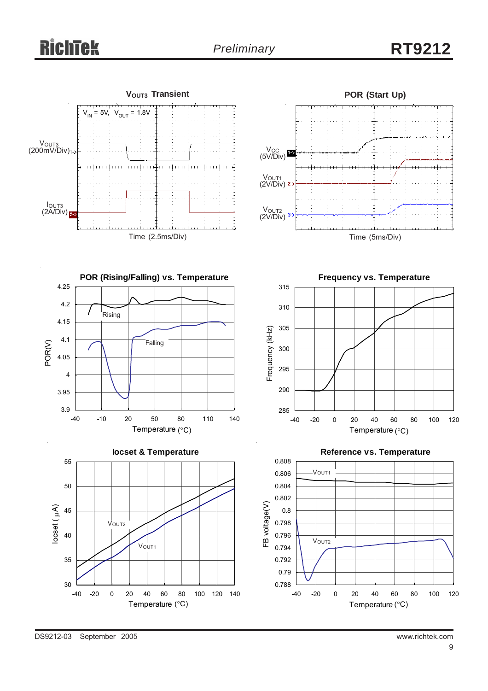# **RichTek**

# *Preliminary* **RT9212**

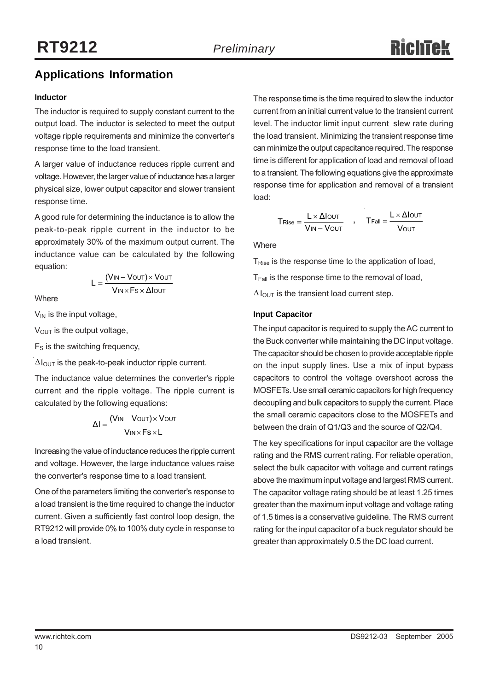# **Applications Information**

#### **Inductor**

The inductor is required to supply constant current to the output load. The inductor is selected to meet the output voltage ripple requirements and minimize the converter's response time to the load transient.

A larger value of inductance reduces ripple current and voltage. However, the larger value of inductance has a larger physical size, lower output capacitor and slower transient response time.

A good rule for determining the inductance is to allow the peak-to-peak ripple current in the inductor to be approximately 30% of the maximum output current. The inductance value can be calculated by the following equation:

$$
L = \frac{(V_{IN} - V_{OUT}) \times V_{OUT}}{V_{IN} \times F_s \times \Delta I_{OUT}}
$$

**Where** 

 $V_{IN}$  is the input voltage,

 $V<sub>OUT</sub>$  is the output voltage,

 $F<sub>S</sub>$  is the switching frequency,

 $\Delta I_{\text{OUT}}$  is the peak-to-peak inductor ripple current.

The inductance value determines the converter's ripple current and the ripple voltage. The ripple current is calculated by the following equations:

$$
\Delta I = \frac{(V_{IN} - V_{OUT}) \times V_{OUT}}{V_{IN} \times Fs \times L}
$$

Increasing the value of inductance reduces the ripple current and voltage. However, the large inductance values raise the converter's response time to a load transient.

One of the parameters limiting the converter's response to a load transient is the time required to change the inductor current. Given a sufficiently fast control loop design, the RT9212 will provide 0% to 100% duty cycle in response to a load transient.

The response time is the time required to slew the inductor current from an initial current value to the transient current level. The inductor limit input current slew rate during the load transient. Minimizing the transient response time can minimize the output capacitance required. The response time is different for application of load and removal of load to a transient. The following equations give the approximate response time for application and removal of a transient load:

$$
T_{\text{Rise}} = \frac{L \times \Delta \text{IoUT}}{V_{\text{IN}} - V_{\text{OUT}}}
$$
, 
$$
T_{\text{Fall}} = \frac{L \times \Delta \text{IoUT}}{V_{\text{OUT}}}
$$

**Where** 

T<sub>Rise</sub> is the response time to the application of load,

 $T<sub>Fall</sub>$  is the response time to the removal of load,

 $\Delta$  l<sub>OUT</sub> is the transient load current step.

#### **Input Capacitor**

The input capacitor is required to supply the AC current to the Buck converter while maintaining the DC input voltage. The capacitor should be chosen to provide acceptable ripple on the input supply lines. Use a mix of input bypass capacitors to control the voltage overshoot across the MOSFETs. Use small ceramic capacitors for high frequency decoupling and bulk capacitors to supply the current. Place the small ceramic capacitors close to the MOSFETs and between the drain of Q1/Q3 and the source of Q2/Q4.

The key specifications for input capacitor are the voltage rating and the RMS current rating. For reliable operation, select the bulk capacitor with voltage and current ratings above the maximum input voltage and largest RMS current. The capacitor voltage rating should be at least 1.25 times greater than the maximum input voltage and voltage rating of 1.5 times is a conservative guideline. The RMS current rating for the input capacitor of a buck regulator should be greater than approximately 0.5 the DC load current.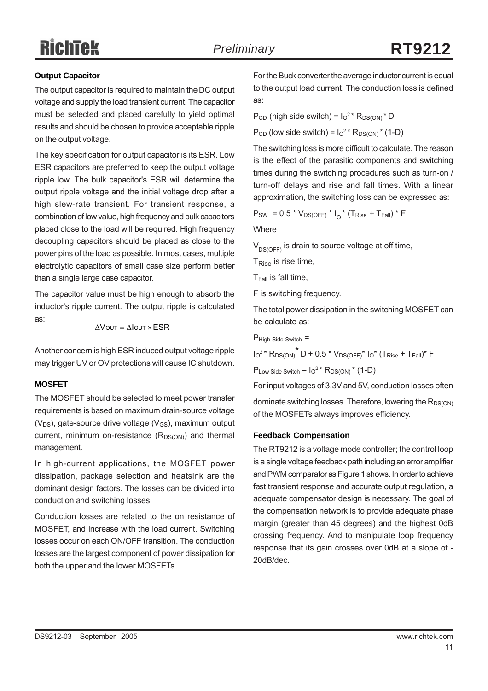# RichTek

#### **Output Capacitor**

The output capacitor is required to maintain the DC output voltage and supply the load transient current. The capacitor must be selected and placed carefully to yield optimal results and should be chosen to provide acceptable ripple on the output voltage.

The key specification for output capacitor is its ESR. Low ESR capacitors are preferred to keep the output voltage ripple low. The bulk capacitor's ESR will determine the output ripple voltage and the initial voltage drop after a high slew-rate transient. For transient response, a combination of low value, high frequency and bulk capacitors placed close to the load will be required. High frequency decoupling capacitors should be placed as close to the power pins of the load as possible. In most cases, multiple electrolytic capacitors of small case size perform better than a single large case capacitor.

The capacitor value must be high enough to absorb the inductor's ripple current. The output ripple is calculated as:

$$
\Delta V \text{out} = \Delta I \text{out} \times ESR
$$

Another concern is high ESR induced output voltage ripple may trigger UV or OV protections will cause IC shutdown.

#### **MOSFET**

The MOSFET should be selected to meet power transfer requirements is based on maximum drain-source voltage  $(V_{DS})$ , gate-source drive voltage  $(V_{GS})$ , maximum output current, minimum on-resistance  $(R_{DS(ON)})$  and thermal management.

In high-current applications, the MOSFET power dissipation, package selection and heatsink are the dominant design factors. The losses can be divided into conduction and switching losses.

Conduction losses are related to the on resistance of MOSFET, and increase with the load current. Switching losses occur on each ON/OFF transition. The conduction losses are the largest component of power dissipation for both the upper and the lower MOSFETs.

For the Buck converter the average inductor current is equal to the output load current. The conduction loss is defined as:

 $P_{CD}$  (high side switch) =  $I_0^2$ <sup>\*</sup>  $R_{DS(ON)}$ <sup>\*</sup> D

 $P_{CD}$  (low side switch) =  $I_0^2$ <sup>\*</sup>  $R_{DS(ON)}$ <sup>\*</sup> (1-D)

The switching loss is more difficult to calculate. The reason is the effect of the parasitic components and switching times during the switching procedures such as turn-on / turn-off delays and rise and fall times. With a linear approximation, the switching loss can be expressed as:

 $P_{SW} = 0.5 * V_{DS(OFF)} * I_{n} * (T_{Rise} + T_{Fall}) * F$ 

Where

 $V_{DS(OFF)}$  is drain to source voltage at off time,

T<sub>Rise</sub> is rise time,

 $T_{Fall}$  is fall time,

F is switching frequency.

The total power dissipation in the switching MOSFET can be calculate as:

$$
P_{High \, Side \, Switch}=
$$

 $I_0^2$ \*  $R_{DS(ON)}^*$  D + 0.5 \*  $V_{DS(OFF)}^*$   $I_0^*$  (T<sub>Rise</sub> + T<sub>Fall</sub>)\* F

 $P_{Low \, Side \, Switch} = I_0^{2*} R_{DS(ON)} * (1-D)$ 

For input voltages of 3.3V and 5V, conduction losses often

dominate switching losses. Therefore, lowering the  $R_{DS(ON)}$ of the MOSFETs always improves efficiency.

#### **Feedback Compensation**

The RT9212 is a voltage mode controller; the control loop is a single voltage feedback path including an error amplifier and PWM comparator as Figure 1 shows. In order to achieve fast transient response and accurate output regulation, a adequate compensator design is necessary. The goal of the compensation network is to provide adequate phase margin (greater than 45 degrees) and the highest 0dB crossing frequency. And to manipulate loop frequency response that its gain crosses over 0dB at a slope of - 20dB/dec.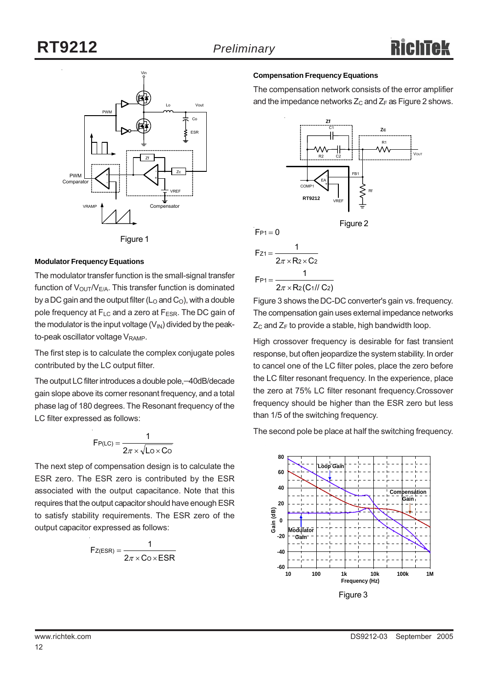



#### **Modulator Frequency Equations**

The modulator transfer function is the small-signal transfer function of  $V_{\text{OUT}}/V_{E/A}$ . This transfer function is dominated by a DC gain and the output filter ( $L_0$  and  $C_0$ ), with a double pole frequency at  $F_{LC}$  and a zero at  $F_{ESR}$ . The DC gain of the modulator is the input voltage  $(V_{\text{IN}})$  divided by the peakto-peak oscillator voltage V<sub>RAMP</sub>.

The first step is to calculate the complex conjugate poles contributed by the LC output filter.

The output LC filter introduces a double pole,−40dB/decade gain slope above its corner resonant frequency, and a total phase lag of 180 degrees. The Resonant frequency of the LC filter expressed as follows:

$$
F_{P(LC)} = \frac{1}{2\pi \times \sqrt{L_0 \times C_0}}
$$

The next step of compensation design is to calculate the ESR zero. The ESR zero is contributed by the ESR associated with the output capacitance. Note that this requires that the output capacitor should have enough ESR to satisfy stability requirements. The ESR zero of the output capacitor expressed as follows:

$$
F_{Z(ESR)} = \frac{1}{2\pi \times C_0 \times ESR}
$$

#### **Compensation Frequency Equations**

The compensation network consists of the error amplifier and the impedance networks  $Z_C$  and  $Z_F$  as Figure 2 shows.





$$
F_{P1} = 0
$$
\n
$$
F_{Z1} = \frac{1}{2\pi \times R_2 \times C_2}
$$
\n
$$
F_{P1} = \frac{1}{2\pi \times R_2(C_1 l/C_2)}
$$

Figure 3 shows the DC-DC converter's gain vs. frequency. The compensation gain uses external impedance networks  $Z_C$  and  $Z_F$  to provide a stable, high bandwidth loop.

High crossover frequency is desirable for fast transient response, but often jeopardize the system stability. In order to cancel one of the LC filter poles, place the zero before the LC filter resonant frequency. In the experience, place the zero at 75% LC filter resonant frequency.Crossover frequency should be higher than the ESR zero but less than 1/5 of the switching frequency.

The second pole be place at half the switching frequency.

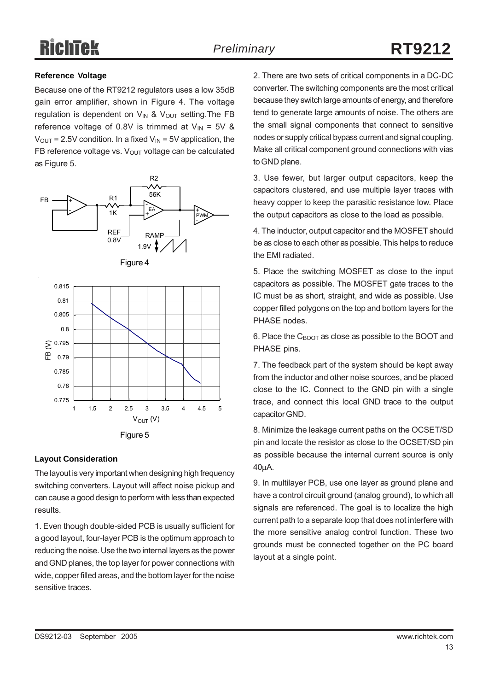# Richīek

#### **Reference Voltage**

Because one of the RT9212 regulators uses a low 35dB gain error amplifier, shown in Figure 4. The voltage regulation is dependent on  $V_{IN}$  &  $V_{OUT}$  setting. The FB reference voltage of 0.8V is trimmed at  $V_{IN} = 5V$  &  $V_{OUT}$  = 2.5V condition. In a fixed  $V_{IN}$  = 5V application, the FB reference voltage vs.  $V_{\text{OUT}}$  voltage can be calculated as Figure 5.







#### **Layout Consideration**

The layout is very important when designing high frequency switching converters. Layout will affect noise pickup and can cause a good design to perform with less than expected results.

1. Even though double-sided PCB is usually sufficient for a good layout, four-layer PCB is the optimum approach to reducing the noise. Use the two internal layers as the power and GND planes, the top layer for power connections with wide, copper filled areas, and the bottom layer for the noise sensitive traces.

2. There are two sets of critical components in a DC-DC converter. The switching components are the most critical because they switch large amounts of energy, and therefore tend to generate large amounts of noise. The others are the small signal components that connect to sensitive nodes or supply critical bypass current and signal coupling. Make all critical component ground connections with vias to GND plane.

3. Use fewer, but larger output capacitors, keep the capacitors clustered, and use multiple layer traces with heavy copper to keep the parasitic resistance low. Place the output capacitors as close to the load as possible.

4. The inductor, output capacitor and the MOSFET should be as close to each other as possible. This helps to reduce the EMI radiated.

5. Place the switching MOSFET as close to the input capacitors as possible. The MOSFET gate traces to the IC must be as short, straight, and wide as possible. Use copper filled polygons on the top and bottom layers for the PHASE nodes.

6. Place the  $C_{\text{BOOT}}$  as close as possible to the BOOT and PHASE pins.

7. The feedback part of the system should be kept away from the inductor and other noise sources, and be placed close to the IC. Connect to the GND pin with a single trace, and connect this local GND trace to the output capacitor GND.

8. Minimize the leakage current paths on the OCSET/SD pin and locate the resistor as close to the OCSET/SD pin as possible because the internal current source is only 40μA.

9. In multilayer PCB, use one layer as ground plane and have a control circuit ground (analog ground), to which all signals are referenced. The goal is to localize the high current path to a separate loop that does not interfere with the more sensitive analog control function. These two grounds must be connected together on the PC board layout at a single point.